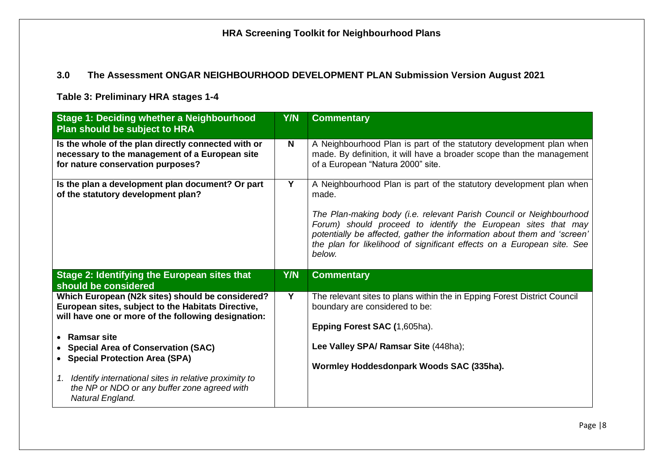### **3.0 The Assessment ONGAR NEIGHBOURHOOD DEVELOPMENT PLAN Submission Version August 2021**

**Table 3: Preliminary HRA stages 1-4** 

| <b>Stage 1: Deciding whether a Neighbourhood</b><br>Plan should be subject to HRA                                                                                                                                                                                                                                                                                                                      | <b>Y/N</b> | <b>Commentary</b>                                                                                                                                                                                                                                                                                                                                                                   |
|--------------------------------------------------------------------------------------------------------------------------------------------------------------------------------------------------------------------------------------------------------------------------------------------------------------------------------------------------------------------------------------------------------|------------|-------------------------------------------------------------------------------------------------------------------------------------------------------------------------------------------------------------------------------------------------------------------------------------------------------------------------------------------------------------------------------------|
| Is the whole of the plan directly connected with or<br>necessary to the management of a European site<br>for nature conservation purposes?                                                                                                                                                                                                                                                             | N          | A Neighbourhood Plan is part of the statutory development plan when<br>made. By definition, it will have a broader scope than the management<br>of a European "Natura 2000" site.                                                                                                                                                                                                   |
| Is the plan a development plan document? Or part<br>of the statutory development plan?                                                                                                                                                                                                                                                                                                                 | Y          | A Neighbourhood Plan is part of the statutory development plan when<br>made.<br>The Plan-making body (i.e. relevant Parish Council or Neighbourhood<br>Forum) should proceed to identify the European sites that may<br>potentially be affected, gather the information about them and 'screen'<br>the plan for likelihood of significant effects on a European site. See<br>below. |
| Stage 2: Identifying the European sites that<br>should be considered                                                                                                                                                                                                                                                                                                                                   | <b>Y/N</b> | <b>Commentary</b>                                                                                                                                                                                                                                                                                                                                                                   |
| Which European (N2k sites) should be considered?<br>European sites, subject to the Habitats Directive,<br>will have one or more of the following designation:<br><b>Ramsar site</b><br><b>Special Area of Conservation (SAC)</b><br>• Special Protection Area (SPA)<br>Identify international sites in relative proximity to<br>1.<br>the NP or NDO or any buffer zone agreed with<br>Natural England. | Y          | The relevant sites to plans within the in Epping Forest District Council<br>boundary are considered to be:<br>Epping Forest SAC (1,605ha).<br>Lee Valley SPA/ Ramsar Site (448ha);<br>Wormley Hoddesdonpark Woods SAC (335ha).                                                                                                                                                      |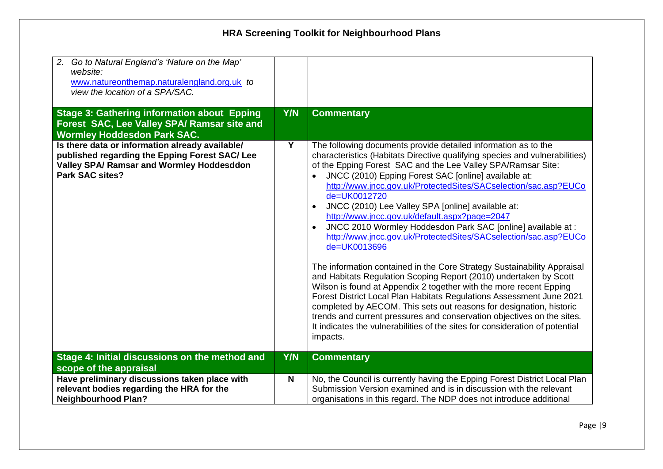| 2. Go to Natural England's 'Nature on the Map'<br>website:<br>www.natureonthemap.naturalengland.org.uk to<br>view the location of a SPA/SAC.<br><b>Stage 3: Gathering information about Epping</b><br>Forest SAC, Lee Valley SPA/ Ramsar site and | Y/N        | <b>Commentary</b>                                                                                                                                                                                                                                                                                                                                                                                                                                                                                                                                                                                                                                                                                                                                                                                                                                                                                                                                                                                                                                                                                                                                            |
|---------------------------------------------------------------------------------------------------------------------------------------------------------------------------------------------------------------------------------------------------|------------|--------------------------------------------------------------------------------------------------------------------------------------------------------------------------------------------------------------------------------------------------------------------------------------------------------------------------------------------------------------------------------------------------------------------------------------------------------------------------------------------------------------------------------------------------------------------------------------------------------------------------------------------------------------------------------------------------------------------------------------------------------------------------------------------------------------------------------------------------------------------------------------------------------------------------------------------------------------------------------------------------------------------------------------------------------------------------------------------------------------------------------------------------------------|
| <b>Wormley Hoddesdon Park SAC.</b>                                                                                                                                                                                                                |            |                                                                                                                                                                                                                                                                                                                                                                                                                                                                                                                                                                                                                                                                                                                                                                                                                                                                                                                                                                                                                                                                                                                                                              |
| Is there data or information already available/<br>published regarding the Epping Forest SAC/ Lee<br><b>Valley SPA/ Ramsar and Wormley Hoddesddon</b><br><b>Park SAC sites?</b>                                                                   | Y          | The following documents provide detailed information as to the<br>characteristics (Habitats Directive qualifying species and vulnerabilities)<br>of the Epping Forest SAC and the Lee Valley SPA/Ramsar Site:<br>JNCC (2010) Epping Forest SAC [online] available at:<br>http://www.jncc.gov.uk/ProtectedSites/SACselection/sac.asp?EUCo<br>de=UK0012720<br>JNCC (2010) Lee Valley SPA [online] available at:<br>http://www.jncc.gov.uk/default.aspx?page=2047<br>JNCC 2010 Wormley Hoddesdon Park SAC [online] available at :<br>http://www.jncc.gov.uk/ProtectedSites/SACselection/sac.asp?EUCo<br>de=UK0013696<br>The information contained in the Core Strategy Sustainability Appraisal<br>and Habitats Regulation Scoping Report (2010) undertaken by Scott<br>Wilson is found at Appendix 2 together with the more recent Epping<br>Forest District Local Plan Habitats Regulations Assessment June 2021<br>completed by AECOM. This sets out reasons for designation, historic<br>trends and current pressures and conservation objectives on the sites.<br>It indicates the vulnerabilities of the sites for consideration of potential<br>impacts. |
| Stage 4: Initial discussions on the method and                                                                                                                                                                                                    | <b>Y/N</b> | <b>Commentary</b>                                                                                                                                                                                                                                                                                                                                                                                                                                                                                                                                                                                                                                                                                                                                                                                                                                                                                                                                                                                                                                                                                                                                            |
| scope of the appraisal                                                                                                                                                                                                                            |            |                                                                                                                                                                                                                                                                                                                                                                                                                                                                                                                                                                                                                                                                                                                                                                                                                                                                                                                                                                                                                                                                                                                                                              |
| Have preliminary discussions taken place with<br>relevant bodies regarding the HRA for the<br><b>Neighbourhood Plan?</b>                                                                                                                          | N          | No, the Council is currently having the Epping Forest District Local Plan<br>Submission Version examined and is in discussion with the relevant<br>organisations in this regard. The NDP does not introduce additional                                                                                                                                                                                                                                                                                                                                                                                                                                                                                                                                                                                                                                                                                                                                                                                                                                                                                                                                       |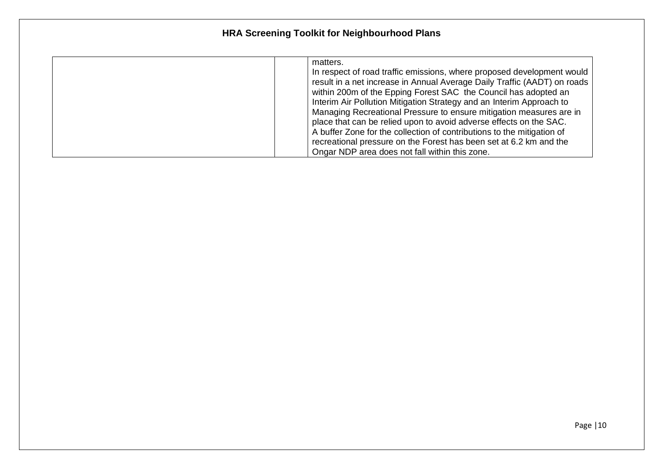| matters.                                                                 |
|--------------------------------------------------------------------------|
| In respect of road traffic emissions, where proposed development would   |
| result in a net increase in Annual Average Daily Traffic (AADT) on roads |
| within 200m of the Epping Forest SAC the Council has adopted an          |
| Interim Air Pollution Mitigation Strategy and an Interim Approach to     |
| Managing Recreational Pressure to ensure mitigation measures are in      |
| place that can be relied upon to avoid adverse effects on the SAC.       |
| A buffer Zone for the collection of contributions to the mitigation of   |
| recreational pressure on the Forest has been set at 6.2 km and the       |
| Ongar NDP area does not fall within this zone.                           |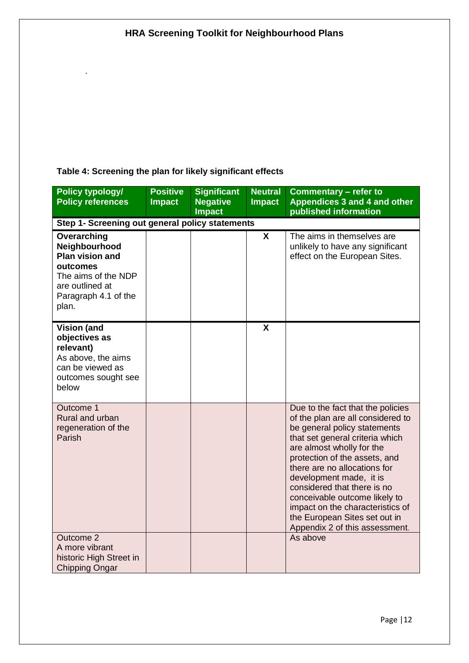### **Table 4: Screening the plan for likely significant effects**

.

| <b>Policy typology/</b><br><b>Policy references</b>                                                                                           | <b>Positive</b><br><b>Impact</b> | <b>Significant</b><br><b>Negative</b><br><b>Impact</b> | <b>Neutral</b><br><b>Impact</b> | <b>Commentary – refer to</b><br>Appendices 3 and 4 and other<br>published information                                                                                                                                                                                                                                                                                                                                                     |
|-----------------------------------------------------------------------------------------------------------------------------------------------|----------------------------------|--------------------------------------------------------|---------------------------------|-------------------------------------------------------------------------------------------------------------------------------------------------------------------------------------------------------------------------------------------------------------------------------------------------------------------------------------------------------------------------------------------------------------------------------------------|
| Step 1- Screening out general policy statements                                                                                               |                                  |                                                        |                                 |                                                                                                                                                                                                                                                                                                                                                                                                                                           |
| Overarching<br>Neighbourhood<br><b>Plan vision and</b><br>outcomes<br>The aims of the NDP<br>are outlined at<br>Paragraph 4.1 of the<br>plan. |                                  |                                                        | X                               | The aims in themselves are<br>unlikely to have any significant<br>effect on the European Sites.                                                                                                                                                                                                                                                                                                                                           |
| <b>Vision (and</b><br>objectives as<br>relevant)<br>As above, the aims<br>can be viewed as<br>outcomes sought see<br>below                    |                                  |                                                        | X                               |                                                                                                                                                                                                                                                                                                                                                                                                                                           |
| Outcome 1<br>Rural and urban<br>regeneration of the<br>Parish                                                                                 |                                  |                                                        |                                 | Due to the fact that the policies<br>of the plan are all considered to<br>be general policy statements<br>that set general criteria which<br>are almost wholly for the<br>protection of the assets, and<br>there are no allocations for<br>development made, it is<br>considered that there is no<br>conceivable outcome likely to<br>impact on the characteristics of<br>the European Sites set out in<br>Appendix 2 of this assessment. |
| Outcome 2<br>A more vibrant<br>historic High Street in<br><b>Chipping Ongar</b>                                                               |                                  |                                                        |                                 | As above                                                                                                                                                                                                                                                                                                                                                                                                                                  |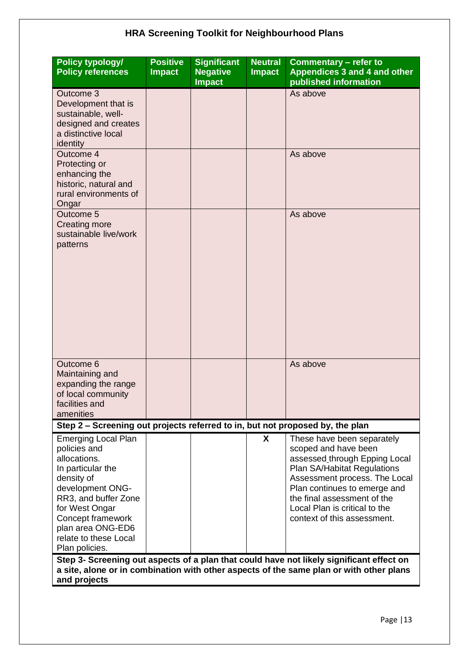| <b>Policy typology/</b><br><b>Policy references</b>                                                                                                                                                                                              | <b>Positive</b><br><b>Impact</b> | <b>Significant</b><br><b>Negative</b><br><b>Impact</b> | <b>Neutral</b><br><b>Impact</b> | <b>Commentary - refer to</b><br>Appendices 3 and 4 and other<br>published information                                                                                                                                                                                                                                                                                          |
|--------------------------------------------------------------------------------------------------------------------------------------------------------------------------------------------------------------------------------------------------|----------------------------------|--------------------------------------------------------|---------------------------------|--------------------------------------------------------------------------------------------------------------------------------------------------------------------------------------------------------------------------------------------------------------------------------------------------------------------------------------------------------------------------------|
| Outcome 3<br>Development that is<br>sustainable, well-<br>designed and creates<br>a distinctive local<br>identity                                                                                                                                |                                  |                                                        |                                 | As above                                                                                                                                                                                                                                                                                                                                                                       |
| Outcome 4<br>Protecting or<br>enhancing the<br>historic, natural and<br>rural environments of<br>Ongar                                                                                                                                           |                                  |                                                        |                                 | As above                                                                                                                                                                                                                                                                                                                                                                       |
| Outcome 5<br><b>Creating more</b><br>sustainable live/work<br>patterns                                                                                                                                                                           |                                  |                                                        |                                 | As above                                                                                                                                                                                                                                                                                                                                                                       |
| Outcome 6<br>Maintaining and<br>expanding the range<br>of local community<br>facilities and<br>amenities                                                                                                                                         |                                  |                                                        |                                 | As above                                                                                                                                                                                                                                                                                                                                                                       |
| Step 2 - Screening out projects referred to in, but not proposed by, the plan                                                                                                                                                                    |                                  |                                                        |                                 |                                                                                                                                                                                                                                                                                                                                                                                |
| <b>Emerging Local Plan</b><br>policies and<br>allocations.<br>In particular the<br>density of<br>development ONG-<br>RR3, and buffer Zone<br>for West Ongar<br>Concept framework<br>plan area ONG-ED6<br>relate to these Local<br>Plan policies. |                                  |                                                        | X                               | These have been separately<br>scoped and have been<br>assessed through Epping Local<br>Plan SA/Habitat Regulations<br>Assessment process. The Local<br>Plan continues to emerge and<br>the final assessment of the<br>Local Plan is critical to the<br>context of this assessment.<br>Step 3- Screening out aspects of a plan that could have not likely significant effect on |
| and projects                                                                                                                                                                                                                                     |                                  |                                                        |                                 | a site, alone or in combination with other aspects of the same plan or with other plans                                                                                                                                                                                                                                                                                        |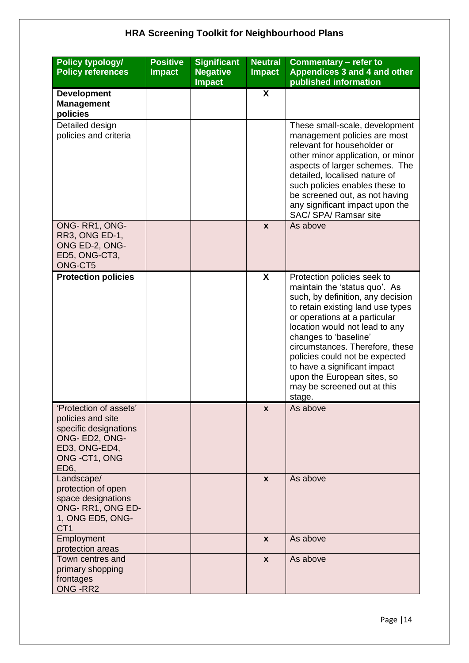| <b>Policy typology/</b><br><b>Policy references</b>                                                                                         | <b>Positive</b><br><b>Impact</b> | <b>Significant</b><br><b>Negative</b><br><b>Impact</b> | <b>Neutral</b><br><b>Impact</b> | Commentary - refer to<br>Appendices 3 and 4 and other<br>published information                                                                                                                                                                                                                                                                                                                                  |
|---------------------------------------------------------------------------------------------------------------------------------------------|----------------------------------|--------------------------------------------------------|---------------------------------|-----------------------------------------------------------------------------------------------------------------------------------------------------------------------------------------------------------------------------------------------------------------------------------------------------------------------------------------------------------------------------------------------------------------|
| <b>Development</b><br><b>Management</b><br>policies                                                                                         |                                  |                                                        | $\boldsymbol{\mathsf{X}}$       |                                                                                                                                                                                                                                                                                                                                                                                                                 |
| Detailed design<br>policies and criteria                                                                                                    |                                  |                                                        |                                 | These small-scale, development<br>management policies are most<br>relevant for householder or<br>other minor application, or minor<br>aspects of larger schemes. The<br>detailed, localised nature of<br>such policies enables these to<br>be screened out, as not having<br>any significant impact upon the<br>SAC/ SPA/ Ramsar site                                                                           |
| ONG-RR1, ONG-<br>RR3, ONG ED-1,<br>ONG ED-2, ONG-<br>ED5, ONG-CT3,<br>ONG-CT5                                                               |                                  |                                                        | $\mathbf{x}$                    | As above                                                                                                                                                                                                                                                                                                                                                                                                        |
| <b>Protection policies</b>                                                                                                                  |                                  |                                                        | X                               | Protection policies seek to<br>maintain the 'status quo'. As<br>such, by definition, any decision<br>to retain existing land use types<br>or operations at a particular<br>location would not lead to any<br>changes to 'baseline'<br>circumstances. Therefore, these<br>policies could not be expected<br>to have a significant impact<br>upon the European sites, so<br>may be screened out at this<br>stage. |
| 'Protection of assets'<br>policies and site<br>specific designations<br>ONG- ED2, ONG-<br>ED3, ONG-ED4,<br>ONG -CT1, ONG<br>ED <sub>6</sub> |                                  |                                                        | X                               | As above                                                                                                                                                                                                                                                                                                                                                                                                        |
| Landscape/<br>protection of open<br>space designations<br>ONG-RR1, ONG ED-<br>1, ONG ED5, ONG-<br>CT <sub>1</sub>                           |                                  |                                                        | $\mathbf{x}$                    | As above                                                                                                                                                                                                                                                                                                                                                                                                        |
| Employment<br>protection areas                                                                                                              |                                  |                                                        | $\mathbf{x}$                    | As above                                                                                                                                                                                                                                                                                                                                                                                                        |
| Town centres and<br>primary shopping<br>frontages<br>ONG-RR2                                                                                |                                  |                                                        | $\mathbf{x}$                    | As above                                                                                                                                                                                                                                                                                                                                                                                                        |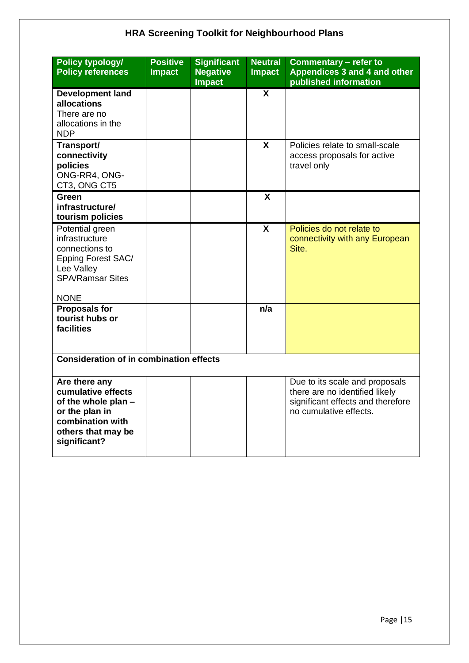| Policy typology/<br><b>Policy references</b>                                                                                           | <b>Positive</b><br><b>Impact</b> | <b>Significant</b><br><b>Negative</b><br><b>Impact</b> | <b>Neutral</b><br><b>Impact</b> | <b>Commentary - refer to</b><br>Appendices 3 and 4 and other<br>published information                                           |
|----------------------------------------------------------------------------------------------------------------------------------------|----------------------------------|--------------------------------------------------------|---------------------------------|---------------------------------------------------------------------------------------------------------------------------------|
| <b>Development land</b><br>allocations<br>There are no<br>allocations in the<br><b>NDP</b>                                             |                                  |                                                        | X                               |                                                                                                                                 |
| Transport/<br>connectivity<br>policies<br>ONG-RR4, ONG-<br>CT3, ONG CT5                                                                |                                  |                                                        | $\mathbf{x}$                    | Policies relate to small-scale<br>access proposals for active<br>travel only                                                    |
| <b>Green</b><br>infrastructure/<br>tourism policies                                                                                    |                                  |                                                        | X                               |                                                                                                                                 |
| Potential green<br>infrastructure<br>connections to<br>Epping Forest SAC/<br>Lee Valley<br><b>SPA/Ramsar Sites</b><br><b>NONE</b>      |                                  |                                                        | X                               | Policies do not relate to<br>connectivity with any European<br>Site.                                                            |
| <b>Proposals for</b><br>tourist hubs or<br>facilities                                                                                  |                                  |                                                        | n/a                             |                                                                                                                                 |
| <b>Consideration of in combination effects</b>                                                                                         |                                  |                                                        |                                 |                                                                                                                                 |
| Are there any<br>cumulative effects<br>of the whole plan -<br>or the plan in<br>combination with<br>others that may be<br>significant? |                                  |                                                        |                                 | Due to its scale and proposals<br>there are no identified likely<br>significant effects and therefore<br>no cumulative effects. |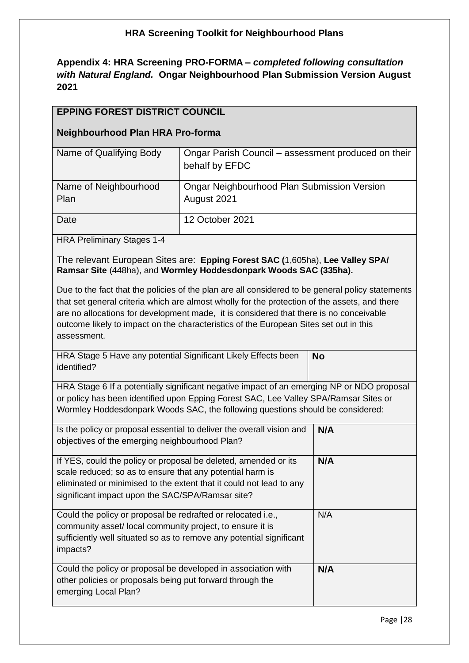**Appendix 4: HRA Screening PRO-FORMA** *– completed following consultation with Natural England.* **Ongar Neighbourhood Plan Submission Version August 2021**

#### **EPPING FOREST DISTRICT COUNCIL**

#### **Neighbourhood Plan HRA Pro-forma**

| Name of Qualifying Body       | Ongar Parish Council – assessment produced on their<br>behalf by EFDC |
|-------------------------------|-----------------------------------------------------------------------|
| Name of Neighbourhood<br>Plan | Ongar Neighbourhood Plan Submission Version<br>August 2021            |
| Date                          | 12 October 2021                                                       |

HRA Preliminary Stages 1-4

The relevant European Sites are: **Epping Forest SAC (**1,605ha), **Lee Valley SPA/ Ramsar Site** (448ha), and **Wormley Hoddesdonpark Woods SAC (335ha).**

Due to the fact that the policies of the plan are all considered to be general policy statements that set general criteria which are almost wholly for the protection of the assets, and there are no allocations for development made, it is considered that there is no conceivable outcome likely to impact on the characteristics of the European Sites set out in this assessment.

| HRA Stage 5 Have any potential Significant Likely Effects been | ∣ No |
|----------------------------------------------------------------|------|
| identified?                                                    |      |

HRA Stage 6 If a potentially significant negative impact of an emerging NP or NDO proposal or policy has been identified upon Epping Forest SAC, Lee Valley SPA/Ramsar Sites or Wormley Hoddesdonpark Woods SAC, the following questions should be considered:

| N/A |
|-----|
| N/A |
| N/A |
| N/A |
|     |